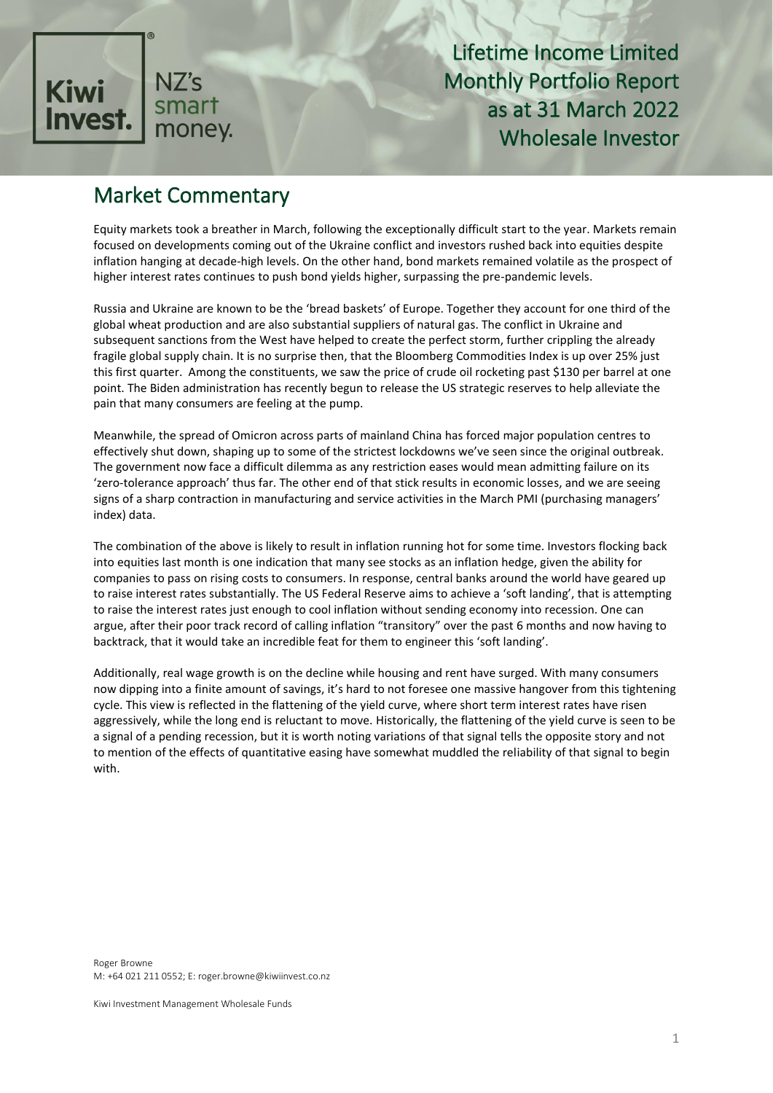

### Market Commentary

Equity markets took a breather in March, following the exceptionally difficult start to the year. Markets remain focused on developments coming out of the Ukraine conflict and investors rushed back into equities despite inflation hanging at decade-high levels. On the other hand, bond markets remained volatile as the prospect of higher interest rates continues to push bond yields higher, surpassing the pre-pandemic levels.

Russia and Ukraine are known to be the 'bread baskets' of Europe. Together they account for one third of the global wheat production and are also substantial suppliers of natural gas. The conflict in Ukraine and subsequent sanctions from the West have helped to create the perfect storm, further crippling the already fragile global supply chain. It is no surprise then, that the Bloomberg Commodities Index is up over 25% just this first quarter. Among the constituents, we saw the price of crude oil rocketing past \$130 per barrel at one point. The Biden administration has recently begun to release the US strategic reserves to help alleviate the pain that many consumers are feeling at the pump.

Meanwhile, the spread of Omicron across parts of mainland China has forced major population centres to effectively shut down, shaping up to some of the strictest lockdowns we've seen since the original outbreak. The government now face a difficult dilemma as any restriction eases would mean admitting failure on its 'zero-tolerance approach' thus far. The other end of that stick results in economic losses, and we are seeing signs of a sharp contraction in manufacturing and service activities in the March PMI (purchasing managers' index) data.

The combination of the above is likely to result in inflation running hot for some time. Investors flocking back into equities last month is one indication that many see stocks as an inflation hedge, given the ability for companies to pass on rising costs to consumers. In response, central banks around the world have geared up to raise interest rates substantially. The US Federal Reserve aims to achieve a 'soft landing', that is attempting to raise the interest rates just enough to cool inflation without sending economy into recession. One can argue, after their poor track record of calling inflation "transitory" over the past 6 months and now having to backtrack, that it would take an incredible feat for them to engineer this 'soft landing'.

Additionally, real wage growth is on the decline while housing and rent have surged. With many consumers now dipping into a finite amount of savings, it's hard to not foresee one massive hangover from this tightening cycle. This view is reflected in the flattening of the yield curve, where short term interest rates have risen aggressively, while the long end is reluctant to move. Historically, the flattening of the yield curve is seen to be a signal of a pending recession, but it is worth noting variations of that signal tells the opposite story and not to mention of the effects of quantitative easing have somewhat muddled the reliability of that signal to begin with.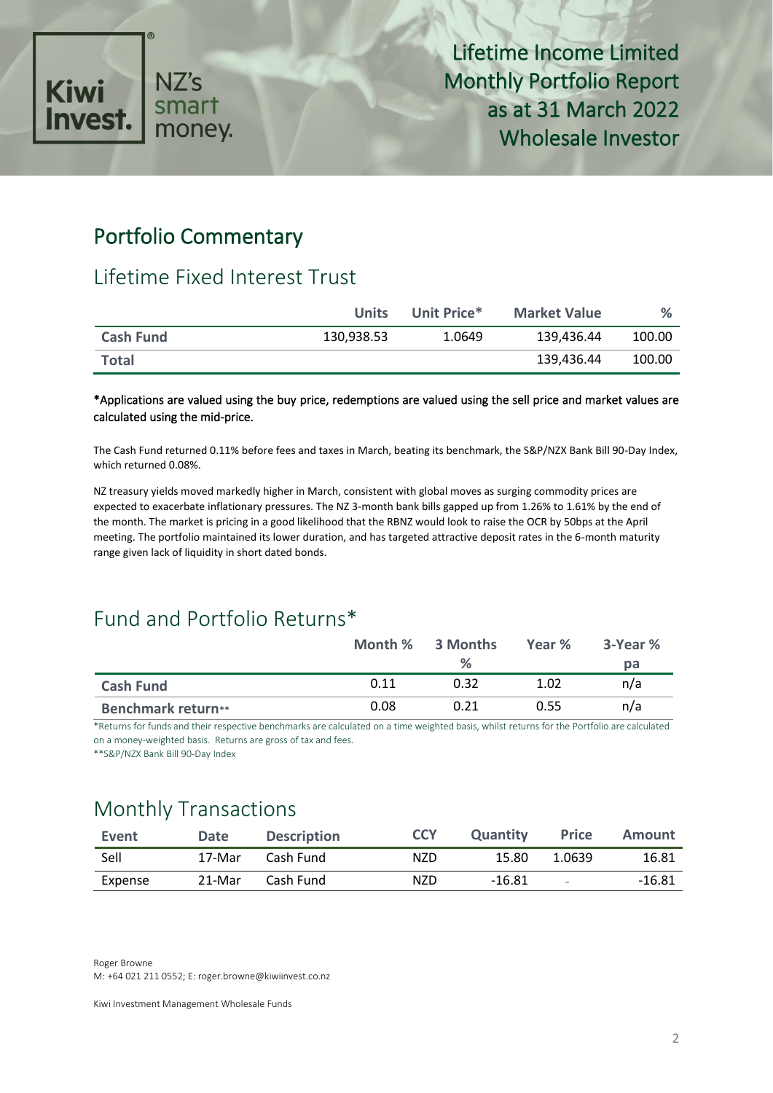

### Portfolio Commentary

### Lifetime Fixed Interest Trust

|                  | <b>Units</b> | Unit Price* | <b>Market Value</b> | $\%$   |
|------------------|--------------|-------------|---------------------|--------|
| <b>Cash Fund</b> | 130,938.53   | 1.0649      | 139,436.44          | 100.00 |
| <b>Total</b>     |              |             | 139.436.44          | 100.00 |

#### \*Applications are valued using the buy price, redemptions are valued using the sell price and market values are calculated using the mid-price.

The Cash Fund returned 0.11% before fees and taxes in March, beating its benchmark, the S&P/NZX Bank Bill 90-Day Index, which returned 0.08%.

NZ treasury yields moved markedly higher in March, consistent with global moves as surging commodity prices are expected to exacerbate inflationary pressures. The NZ 3-month bank bills gapped up from 1.26% to 1.61% by the end of the month. The market is pricing in a good likelihood that the RBNZ would look to raise the OCR by 50bps at the April meeting. The portfolio maintained its lower duration, and has targeted attractive deposit rates in the 6-month maturity range given lack of liquidity in short dated bonds.

## Fund and Portfolio Returns\*

|                           |      | Month % 3 Months | Year % | 3-Year % |
|---------------------------|------|------------------|--------|----------|
|                           |      | %                |        | pа       |
| <b>Cash Fund</b>          | 0.11 | 0.32             | 1.02   | n/a      |
| <b>Benchmark return**</b> | 0.08 | 0.21             | 0.55   | n/a      |

\*Returns for funds and their respective benchmarks are calculated on a time weighted basis, whilst returns for the Portfolio are calculated on a money-weighted basis. Returns are gross of tax and fees.

\*\*S&P/NZX Bank Bill 90-Day Index

## Monthly Transactions

| Event   | <b>Date</b> | <b>Description</b> | <b>CCY</b> | <b>Quantity</b> | <b>Price</b> | Amount |
|---------|-------------|--------------------|------------|-----------------|--------------|--------|
| Sell    | 17-Mar      | Cash Fund          | NZD        | 15.80           | 1.0639       | 16.81  |
| Expense | 21-Mar      | Cash Fund          | NZD.       | $-16.81$        | $\sim$       | -16.81 |

Roger Browne M: +64 021 211 0552; E: roger.browne@kiwiinvest.co.nz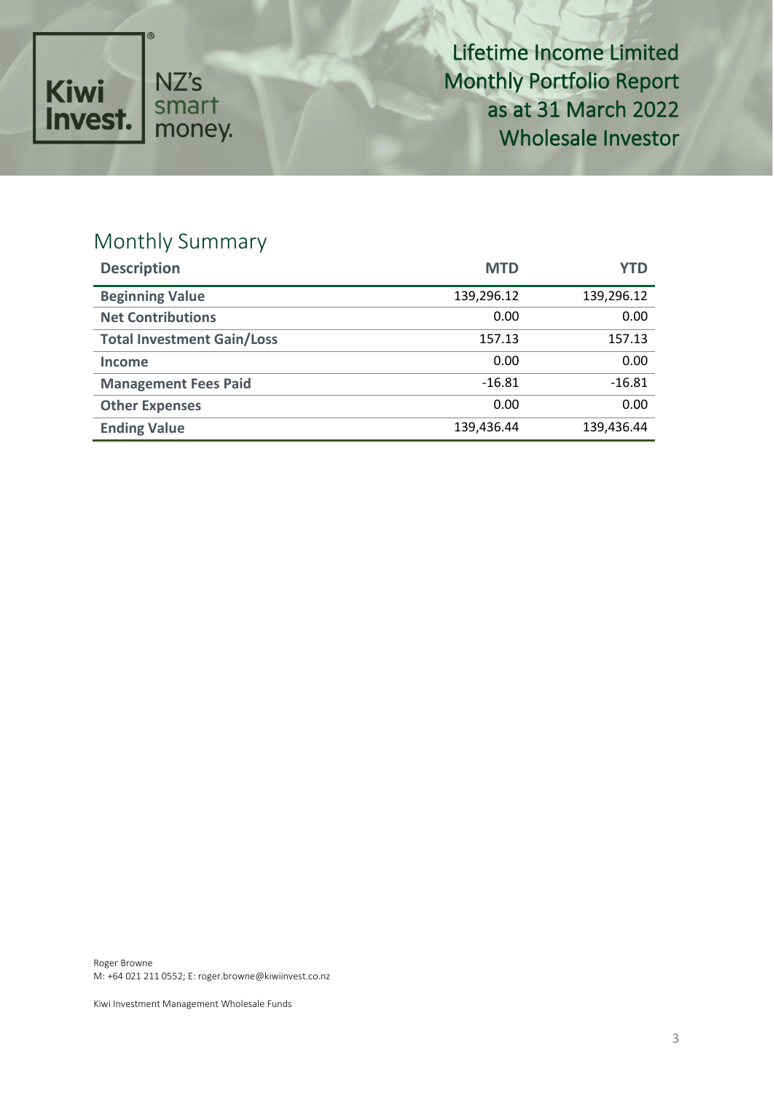

# Monthly Summary

| <b>Description</b>                | <b>MTD</b> | YTD        |
|-----------------------------------|------------|------------|
| <b>Beginning Value</b>            | 139,296.12 | 139,296.12 |
| <b>Net Contributions</b>          | 0.00       | 0.00       |
| <b>Total Investment Gain/Loss</b> | 157.13     | 157.13     |
| Income                            | 0.00       | 0.00       |
| <b>Management Fees Paid</b>       | $-16.81$   | $-16.81$   |
| <b>Other Expenses</b>             | 0.00       | 0.00       |
| <b>Ending Value</b>               | 139,436.44 | 139,436.44 |

Roger Browne M: +64 021 211 0552; E: roger.browne@kiwiinvest.co.nz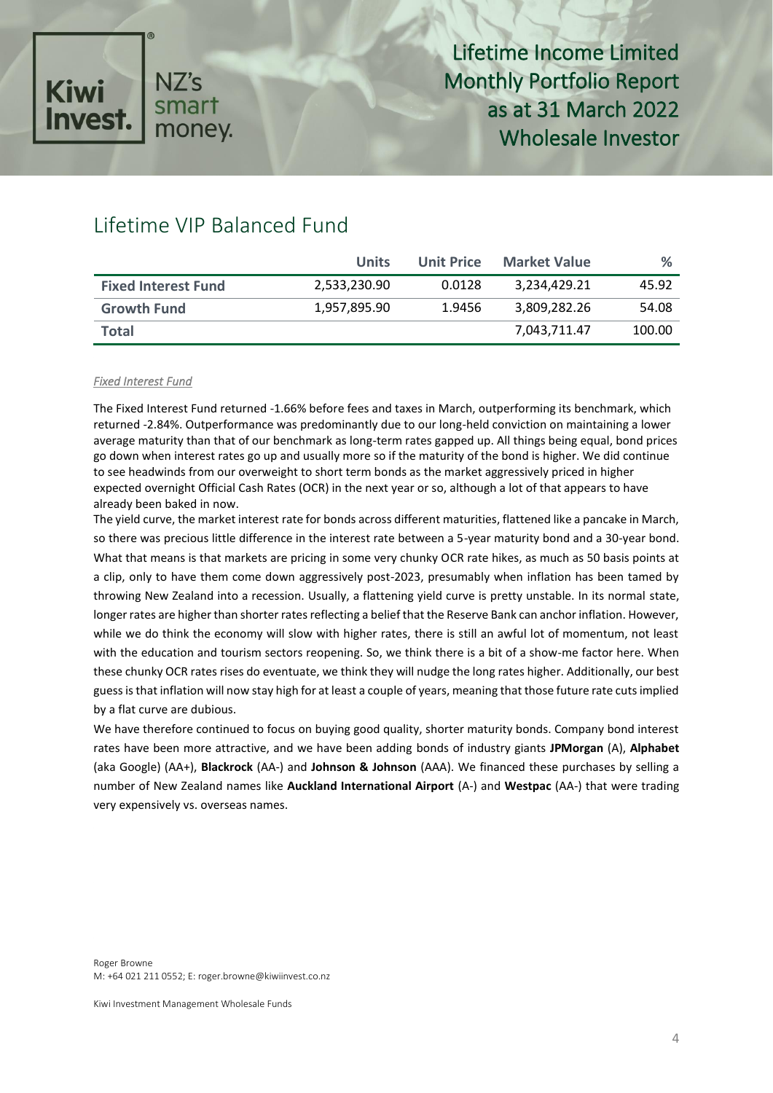

### Lifetime VIP Balanced Fund

|                            | Units        | <b>Unit Price</b> | <b>Market Value</b> | %      |
|----------------------------|--------------|-------------------|---------------------|--------|
| <b>Fixed Interest Fund</b> | 2,533,230.90 | 0.0128            | 3.234.429.21        | 45.92  |
| <b>Growth Fund</b>         | 1,957,895.90 | 1.9456            | 3,809,282.26        | 54.08  |
| <b>Total</b>               |              |                   | 7,043,711.47        | 100.00 |

#### *Fixed Interest Fund*

The Fixed Interest Fund returned -1.66% before fees and taxes in March, outperforming its benchmark, which returned -2.84%. Outperformance was predominantly due to our long-held conviction on maintaining a lower average maturity than that of our benchmark as long-term rates gapped up. All things being equal, bond prices go down when interest rates go up and usually more so if the maturity of the bond is higher. We did continue to see headwinds from our overweight to short term bonds as the market aggressively priced in higher expected overnight Official Cash Rates (OCR) in the next year or so, although a lot of that appears to have already been baked in now.

The yield curve, the market interest rate for bonds across different maturities, flattened like a pancake in March, so there was precious little difference in the interest rate between a 5-year maturity bond and a 30-year bond. What that means is that markets are pricing in some very chunky OCR rate hikes, as much as 50 basis points at a clip, only to have them come down aggressively post-2023, presumably when inflation has been tamed by throwing New Zealand into a recession. Usually, a flattening yield curve is pretty unstable. In its normal state, longer rates are higher than shorter rates reflecting a belief that the Reserve Bank can anchor inflation. However, while we do think the economy will slow with higher rates, there is still an awful lot of momentum, not least with the education and tourism sectors reopening. So, we think there is a bit of a show-me factor here. When these chunky OCR rates rises do eventuate, we think they will nudge the long rates higher. Additionally, our best guess is that inflation will now stay high for at least a couple of years, meaning that those future rate cuts implied by a flat curve are dubious.

We have therefore continued to focus on buying good quality, shorter maturity bonds. Company bond interest rates have been more attractive, and we have been adding bonds of industry giants **JPMorgan** (A), **Alphabet** (aka Google) (AA+), **Blackrock** (AA-) and **Johnson & Johnson** (AAA). We financed these purchases by selling a number of New Zealand names like **Auckland International Airport** (A-) and **Westpac** (AA-) that were trading very expensively vs. overseas names.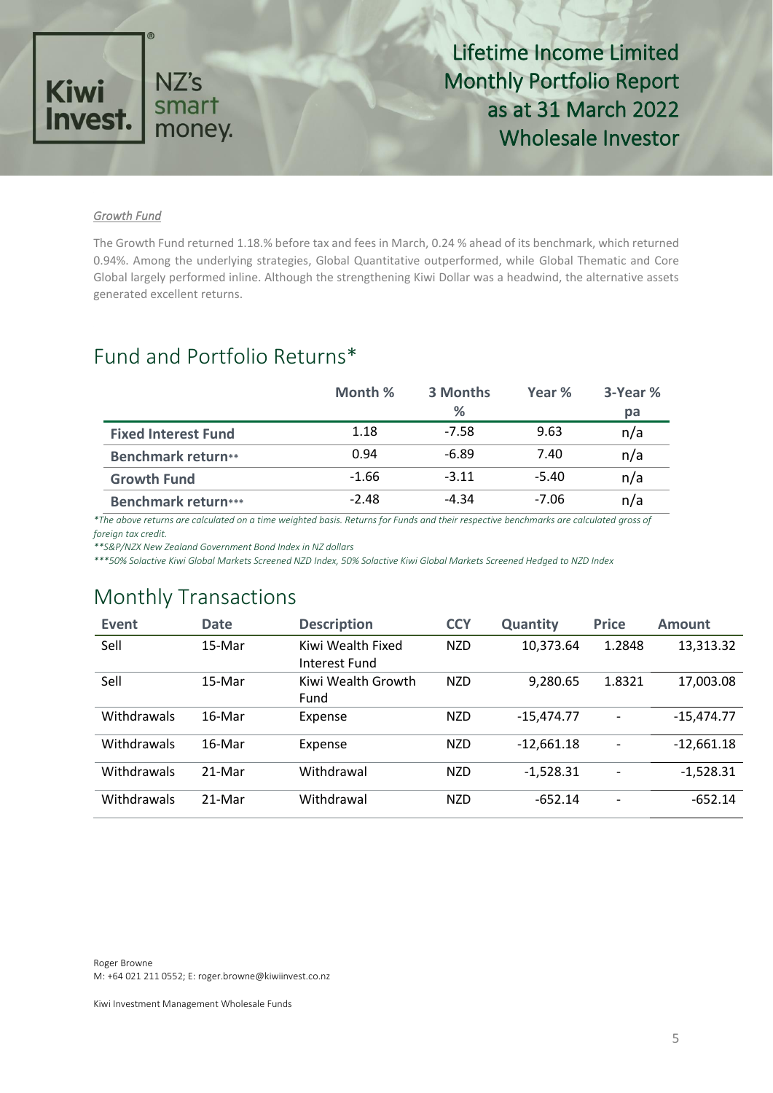

#### *Growth Fund*

The Growth Fund returned 1.18.% before tax and fees in March, 0.24 % ahead of its benchmark, which returned 0.94%. Among the underlying strategies, Global Quantitative outperformed, while Global Thematic and Core Global largely performed inline. Although the strengthening Kiwi Dollar was a headwind, the alternative assets generated excellent returns.

### Fund and Portfolio Returns\*

|                            | Month % | 3 Months | Year %  | 3-Year % |
|----------------------------|---------|----------|---------|----------|
|                            |         | %        |         | pa       |
| <b>Fixed Interest Fund</b> | 1.18    | $-7.58$  | 9.63    | n/a      |
| <b>Benchmark return**</b>  | 0.94    | $-6.89$  | 7.40    | n/a      |
| <b>Growth Fund</b>         | $-1.66$ | $-3.11$  | $-5.40$ | n/a      |
| <b>Benchmark return***</b> | $-2.48$ | -4.34    | -7.06   | n/a      |

*\*The above returns are calculated on a time weighted basis. Returns for Funds and their respective benchmarks are calculated gross of foreign tax credit.* 

*\*\*S&P/NZX New Zealand Government Bond Index in NZ dollars*

*\*\*\*50% Solactive Kiwi Global Markets Screened NZD Index, 50% Solactive Kiwi Global Markets Screened Hedged to NZD Index*

## Monthly Transactions

| Event       | <b>Date</b> | <b>Description</b> | <b>CCY</b> | <b>Quantity</b> | <b>Price</b>   | <b>Amount</b> |
|-------------|-------------|--------------------|------------|-----------------|----------------|---------------|
| Sell        | 15-Mar      | Kiwi Wealth Fixed  | <b>NZD</b> | 10,373.64       | 1.2848         | 13,313.32     |
|             |             | Interest Fund      |            |                 |                |               |
| Sell        | 15-Mar      | Kiwi Wealth Growth | <b>NZD</b> | 9,280.65        | 1.8321         | 17,003.08     |
|             |             | Fund               |            |                 |                |               |
| Withdrawals | 16-Mar      | Expense            | <b>NZD</b> | $-15,474.77$    | $\overline{a}$ | $-15,474.77$  |
| Withdrawals | 16-Mar      | Expense            | <b>NZD</b> | $-12,661.18$    | -              | $-12,661.18$  |
| Withdrawals | 21-Mar      | Withdrawal         | <b>NZD</b> | $-1,528.31$     | -              | $-1,528.31$   |
| Withdrawals | 21-Mar      | Withdrawal         | <b>NZD</b> | $-652.14$       | ٠              | $-652.14$     |

Roger Browne M: +64 021 211 0552; E: roger.browne@kiwiinvest.co.nz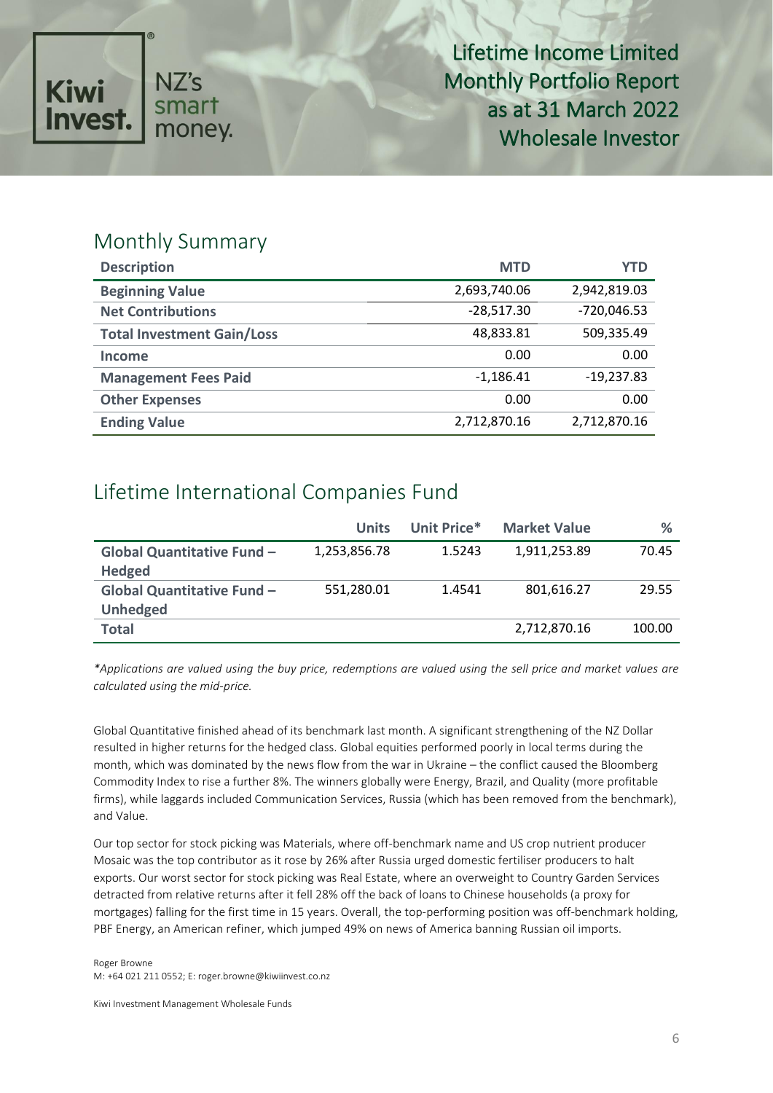

### Monthly Summary

| <b>Description</b>                | <b>MTD</b>   | YTD           |
|-----------------------------------|--------------|---------------|
| <b>Beginning Value</b>            | 2,693,740.06 | 2,942,819.03  |
| <b>Net Contributions</b>          | $-28,517.30$ | $-720,046.53$ |
| <b>Total Investment Gain/Loss</b> | 48,833.81    | 509,335.49    |
| Income                            | 0.00         | 0.00          |
| <b>Management Fees Paid</b>       | $-1,186.41$  | $-19,237.83$  |
| <b>Other Expenses</b>             | 0.00         | 0.00          |
| <b>Ending Value</b>               | 2,712,870.16 | 2,712,870.16  |

## Lifetime International Companies Fund

|                                   | <b>Units</b> | Unit Price* | <b>Market Value</b> | $\%$   |
|-----------------------------------|--------------|-------------|---------------------|--------|
| <b>Global Quantitative Fund -</b> | 1,253,856.78 | 1.5243      | 1,911,253.89        | 70.45  |
| <b>Hedged</b>                     |              |             |                     |        |
| <b>Global Quantitative Fund -</b> | 551,280.01   | 1.4541      | 801,616.27          | 29.55  |
| <b>Unhedged</b>                   |              |             |                     |        |
| <b>Total</b>                      |              |             | 2,712,870.16        | 100.00 |

*\*Applications are valued using the buy price, redemptions are valued using the sell price and market values are calculated using the mid-price.*

Global Quantitative finished ahead of its benchmark last month. A significant strengthening of the NZ Dollar resulted in higher returns for the hedged class. Global equities performed poorly in local terms during the month, which was dominated by the news flow from the war in Ukraine – the conflict caused the Bloomberg Commodity Index to rise a further 8%. The winners globally were Energy, Brazil, and Quality (more profitable firms), while laggards included Communication Services, Russia (which has been removed from the benchmark), and Value.

Our top sector for stock picking was Materials, where off-benchmark name and US crop nutrient producer Mosaic was the top contributor as it rose by 26% after Russia urged domestic fertiliser producers to halt exports. Our worst sector for stock picking was Real Estate, where an overweight to Country Garden Services detracted from relative returns after it fell 28% off the back of loans to Chinese households (a proxy for mortgages) falling for the first time in 15 years. Overall, the top-performing position was off-benchmark holding, PBF Energy, an American refiner, which jumped 49% on news of America banning Russian oil imports.

Roger Browne M: +64 021 211 0552; E: roger.browne@kiwiinvest.co.nz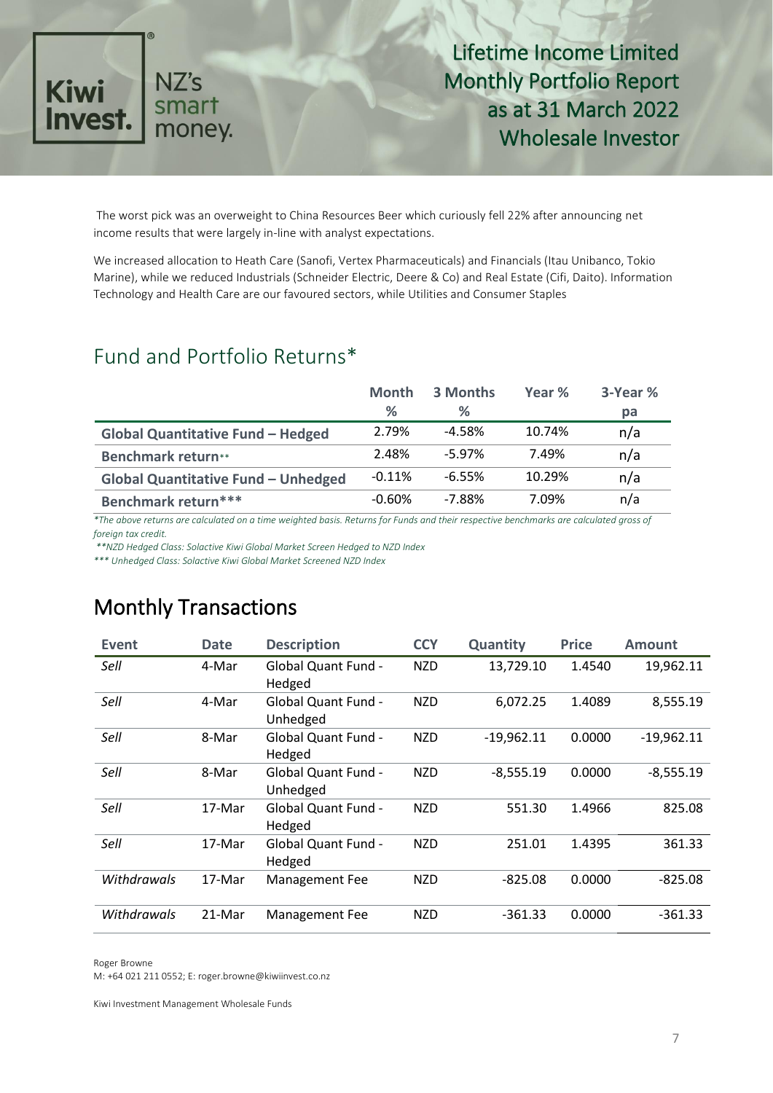

The worst pick was an overweight to China Resources Beer which curiously fell 22% after announcing net income results that were largely in-line with analyst expectations.

We increased allocation to Heath Care (Sanofi, Vertex Pharmaceuticals) and Financials (Itau Unibanco, Tokio Marine), while we reduced Industrials (Schneider Electric, Deere & Co) and Real Estate (Cifi, Daito). Information Technology and Health Care are our favoured sectors, while Utilities and Consumer Staples

## Fund and Portfolio Returns\*

|                                            | <b>Month</b> | 3 Months | Year % | 3-Year % |
|--------------------------------------------|--------------|----------|--------|----------|
|                                            | %            | %        |        | pa       |
| <b>Global Quantitative Fund - Hedged</b>   | 2.79%        | $-4.58%$ | 10.74% | n/a      |
| <b>Benchmark return**</b>                  | 2.48%        | $-5.97%$ | 7.49%  | n/a      |
| <b>Global Quantitative Fund - Unhedged</b> | $-0.11%$     | $-6.55%$ | 10.29% | n/a      |
| Benchmark return***                        | $-0.60%$     | $-7.88%$ | 7.09%  | n/a      |

*\*The above returns are calculated on a time weighted basis. Returns for Funds and their respective benchmarks are calculated gross of foreign tax credit.*

*\*\*NZD Hedged Class: Solactive Kiwi Global Market Screen Hedged to NZD Index* 

*\*\*\* Unhedged Class: Solactive Kiwi Global Market Screened NZD Index* 

## Monthly Transactions

| Event       | <b>Date</b> | <b>Description</b>                     | <b>CCY</b> | Quantity     | <b>Price</b> | Amount       |
|-------------|-------------|----------------------------------------|------------|--------------|--------------|--------------|
| Sell        | 4-Mar       | <b>Global Quant Fund -</b><br>Hedged   | <b>NZD</b> | 13,729.10    | 1.4540       | 19,962.11    |
| Sell        | 4-Mar       | <b>Global Quant Fund -</b><br>Unhedged | <b>NZD</b> | 6,072.25     | 1.4089       | 8,555.19     |
| Sell        | 8-Mar       | <b>Global Quant Fund -</b><br>Hedged   | <b>NZD</b> | $-19,962.11$ | 0.0000       | $-19,962.11$ |
| Sell        | 8-Mar       | <b>Global Quant Fund -</b><br>Unhedged | <b>NZD</b> | $-8,555.19$  | 0.0000       | $-8,555.19$  |
| Sell        | 17-Mar      | <b>Global Quant Fund -</b><br>Hedged   | <b>NZD</b> | 551.30       | 1.4966       | 825.08       |
| Sell        | 17-Mar      | <b>Global Quant Fund -</b><br>Hedged   | <b>NZD</b> | 251.01       | 1.4395       | 361.33       |
| Withdrawals | 17-Mar      | Management Fee                         | <b>NZD</b> | $-825.08$    | 0.0000       | $-825.08$    |
| Withdrawals | 21-Mar      | Management Fee                         | <b>NZD</b> | $-361.33$    | 0.0000       | $-361.33$    |

Roger Browne

M: +64 021 211 0552; E: roger.browne@kiwiinvest.co.nz